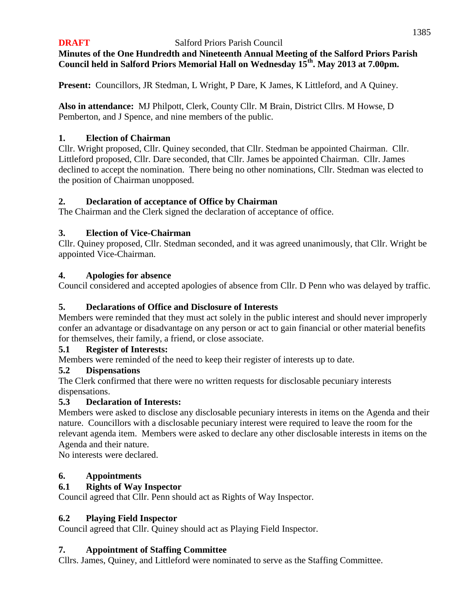## **DRAFT** Salford Priors Parish Council **Minutes of the One Hundredth and Nineteenth Annual Meeting of the Salford Priors Parish Council held in Salford Priors Memorial Hall on Wednesday 15th. May 2013 at 7.00pm.**

**Present:** Councillors, JR Stedman, L Wright, P Dare, K James, K Littleford, and A Quiney.

**Also in attendance:** MJ Philpott, Clerk, County Cllr. M Brain, District Cllrs. M Howse, D Pemberton, and J Spence, and nine members of the public.

# **1. Election of Chairman**

Cllr. Wright proposed, Cllr. Quiney seconded, that Cllr. Stedman be appointed Chairman. Cllr. Littleford proposed, Cllr. Dare seconded, that Cllr. James be appointed Chairman. Cllr. James declined to accept the nomination. There being no other nominations, Cllr. Stedman was elected to the position of Chairman unopposed.

# **2. Declaration of acceptance of Office by Chairman**

The Chairman and the Clerk signed the declaration of acceptance of office.

# **3. Election of Vice-Chairman**

Cllr. Quiney proposed, Cllr. Stedman seconded, and it was agreed unanimously, that Cllr. Wright be appointed Vice-Chairman.

# **4. Apologies for absence**

Council considered and accepted apologies of absence from Cllr. D Penn who was delayed by traffic.

# **5. Declarations of Office and Disclosure of Interests**

Members were reminded that they must act solely in the public interest and should never improperly confer an advantage or disadvantage on any person or act to gain financial or other material benefits for themselves, their family, a friend, or close associate.

# **5.1 Register of Interests:**

Members were reminded of the need to keep their register of interests up to date.

# **5.2 Dispensations**

The Clerk confirmed that there were no written requests for disclosable pecuniary interests dispensations.

# **5.3 Declaration of Interests:**

Members were asked to disclose any disclosable pecuniary interests in items on the Agenda and their nature. Councillors with a disclosable pecuniary interest were required to leave the room for the relevant agenda item. Members were asked to declare any other disclosable interests in items on the Agenda and their nature.

No interests were declared.

# **6. Appointments**

# **6.1 Rights of Way Inspector**

Council agreed that Cllr. Penn should act as Rights of Way Inspector.

# **6.2 Playing Field Inspector**

Council agreed that Cllr. Quiney should act as Playing Field Inspector.

# **7. Appointment of Staffing Committee**

Cllrs. James, Quiney, and Littleford were nominated to serve as the Staffing Committee.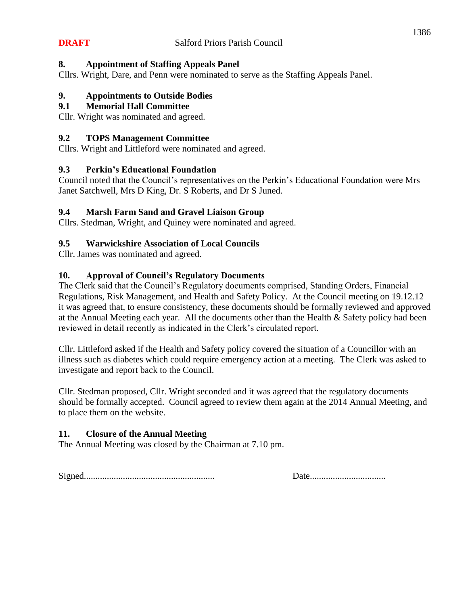#### **8. Appointment of Staffing Appeals Panel**

Cllrs. Wright, Dare, and Penn were nominated to serve as the Staffing Appeals Panel.

#### **9. Appointments to Outside Bodies**

#### **9.1 Memorial Hall Committee**

Cllr. Wright was nominated and agreed.

#### **9.2 TOPS Management Committee**

Cllrs. Wright and Littleford were nominated and agreed.

# **9.3 Perkin's Educational Foundation**

Council noted that the Council's representatives on the Perkin's Educational Foundation were Mrs Janet Satchwell, Mrs D King, Dr. S Roberts, and Dr S Juned.

#### **9.4 Marsh Farm Sand and Gravel Liaison Group**

Cllrs. Stedman, Wright, and Quiney were nominated and agreed.

#### **9.5 Warwickshire Association of Local Councils**

Cllr. James was nominated and agreed.

#### **10. Approval of Council's Regulatory Documents**

The Clerk said that the Council's Regulatory documents comprised, Standing Orders, Financial Regulations, Risk Management, and Health and Safety Policy. At the Council meeting on 19.12.12 it was agreed that, to ensure consistency, these documents should be formally reviewed and approved at the Annual Meeting each year. All the documents other than the Health & Safety policy had been reviewed in detail recently as indicated in the Clerk's circulated report.

Cllr. Littleford asked if the Health and Safety policy covered the situation of a Councillor with an illness such as diabetes which could require emergency action at a meeting. The Clerk was asked to investigate and report back to the Council.

Cllr. Stedman proposed, Cllr. Wright seconded and it was agreed that the regulatory documents should be formally accepted. Council agreed to review them again at the 2014 Annual Meeting, and to place them on the website.

# **11. Closure of the Annual Meeting**

The Annual Meeting was closed by the Chairman at 7.10 pm.

Signed......................................................... Date.................................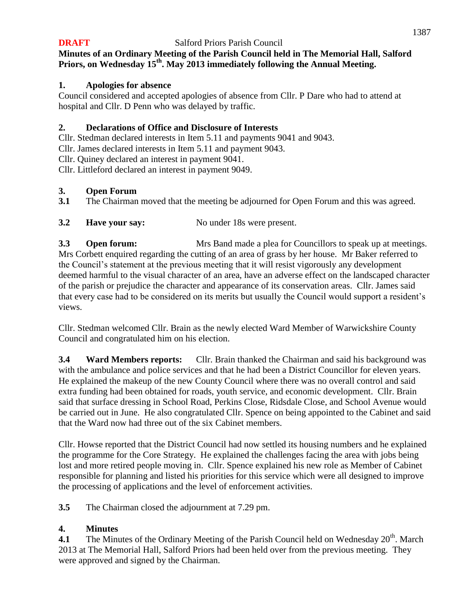# **Minutes of an Ordinary Meeting of the Parish Council held in The Memorial Hall, Salford Priors, on Wednesday 15 th . May 2013 immediately following the Annual Meeting.**

# **1. Apologies for absence**

Council considered and accepted apologies of absence from Cllr. P Dare who had to attend at hospital and Cllr. D Penn who was delayed by traffic.

# **2. Declarations of Office and Disclosure of Interests**

Cllr. Stedman declared interests in Item 5.11 and payments 9041 and 9043.

Cllr. James declared interests in Item 5.11 and payment 9043.

Cllr. Quiney declared an interest in payment 9041.

Cllr. Littleford declared an interest in payment 9049.

# **3. Open Forum**

- **3.1** The Chairman moved that the meeting be adjourned for Open Forum and this was agreed.
- **3.2 Have your say:** No under 18s were present.

**3.3 Open forum:** Mrs Band made a plea for Councillors to speak up at meetings. Mrs Corbett enquired regarding the cutting of an area of grass by her house. Mr Baker referred to the Council's statement at the previous meeting that it will resist vigorously any development deemed harmful to the visual character of an area, have an adverse effect on the landscaped character of the parish or prejudice the character and appearance of its conservation areas. Cllr. James said that every case had to be considered on its merits but usually the Council would support a resident's views.

Cllr. Stedman welcomed Cllr. Brain as the newly elected Ward Member of Warwickshire County Council and congratulated him on his election.

**3.4 Ward Members reports:** Cllr. Brain thanked the Chairman and said his background was with the ambulance and police services and that he had been a District Councillor for eleven years. He explained the makeup of the new County Council where there was no overall control and said extra funding had been obtained for roads, youth service, and economic development. Cllr. Brain said that surface dressing in School Road, Perkins Close, Ridsdale Close, and School Avenue would be carried out in June. He also congratulated Cllr. Spence on being appointed to the Cabinet and said that the Ward now had three out of the six Cabinet members.

Cllr. Howse reported that the District Council had now settled its housing numbers and he explained the programme for the Core Strategy. He explained the challenges facing the area with jobs being lost and more retired people moving in. Cllr. Spence explained his new role as Member of Cabinet responsible for planning and listed his priorities for this service which were all designed to improve the processing of applications and the level of enforcement activities.

**3.5** The Chairman closed the adjournment at 7.29 pm.

# **4. Minutes**

**4.1** The Minutes of the Ordinary Meeting of the Parish Council held on Wednesday 20<sup>th</sup>. March 2013 at The Memorial Hall, Salford Priors had been held over from the previous meeting. They were approved and signed by the Chairman.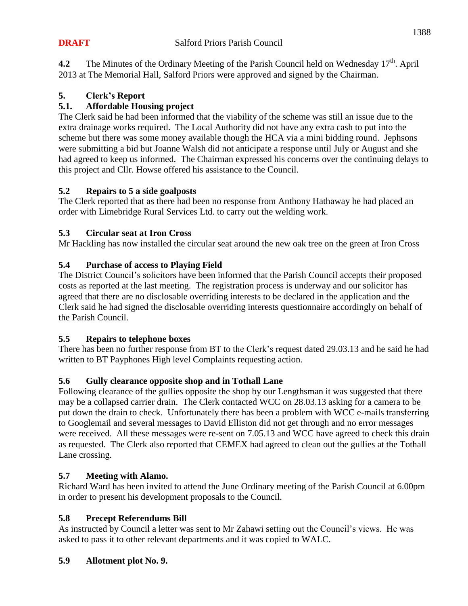**4.2** The Minutes of the Ordinary Meeting of the Parish Council held on Wednesday 17<sup>th</sup>. April 2013 at The Memorial Hall, Salford Priors were approved and signed by the Chairman.

# **5. Clerk's Report**

# **5.1. Affordable Housing project**

The Clerk said he had been informed that the viability of the scheme was still an issue due to the extra drainage works required. The Local Authority did not have any extra cash to put into the scheme but there was some money available though the HCA via a mini bidding round. Jephsons were submitting a bid but Joanne Walsh did not anticipate a response until July or August and she had agreed to keep us informed. The Chairman expressed his concerns over the continuing delays to this project and Cllr. Howse offered his assistance to the Council.

# **5.2 Repairs to 5 a side goalposts**

The Clerk reported that as there had been no response from Anthony Hathaway he had placed an order with Limebridge Rural Services Ltd. to carry out the welding work.

# **5.3 Circular seat at Iron Cross**

Mr Hackling has now installed the circular seat around the new oak tree on the green at Iron Cross

# **5.4 Purchase of access to Playing Field**

The District Council's solicitors have been informed that the Parish Council accepts their proposed costs as reported at the last meeting. The registration process is underway and our solicitor has agreed that there are no disclosable overriding interests to be declared in the application and the Clerk said he had signed the disclosable overriding interests questionnaire accordingly on behalf of the Parish Council.

# **5.5 Repairs to telephone boxes**

There has been no further response from BT to the Clerk's request dated 29.03.13 and he said he had written to BT Payphones High level Complaints requesting action.

# **5.6 Gully clearance opposite shop and in Tothall Lane**

Following clearance of the gullies opposite the shop by our Lengthsman it was suggested that there may be a collapsed carrier drain. The Clerk contacted WCC on 28.03.13 asking for a camera to be put down the drain to check. Unfortunately there has been a problem with WCC e-mails transferring to Googlemail and several messages to David Elliston did not get through and no error messages were received. All these messages were re-sent on 7.05.13 and WCC have agreed to check this drain as requested. The Clerk also reported that CEMEX had agreed to clean out the gullies at the Tothall Lane crossing.

# **5.7 Meeting with Alamo.**

Richard Ward has been invited to attend the June Ordinary meeting of the Parish Council at 6.00pm in order to present his development proposals to the Council.

# **5.8 Precept Referendums Bill**

As instructed by Council a letter was sent to Mr Zahawi setting out the Council's views. He was asked to pass it to other relevant departments and it was copied to WALC.

# **5.9 Allotment plot No. 9.**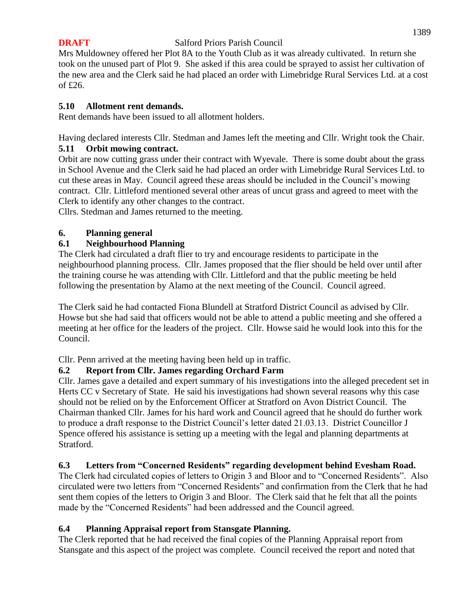Mrs Muldowney offered her Plot 8A to the Youth Club as it was already cultivated. In return she took on the unused part of Plot 9. She asked if this area could be sprayed to assist her cultivation of the new area and the Clerk said he had placed an order with Limebridge Rural Services Ltd. at a cost of £26.

# **5.10 Allotment rent demands.**

Rent demands have been issued to all allotment holders.

Having declared interests Cllr. Stedman and James left the meeting and Cllr. Wright took the Chair. **5.11 Orbit mowing contract.**

Orbit are now cutting grass under their contract with Wyevale. There is some doubt about the grass in School Avenue and the Clerk said he had placed an order with Limebridge Rural Services Ltd. to cut these areas in May. Council agreed these areas should be included in the Council's mowing contract. Cllr. Littleford mentioned several other areas of uncut grass and agreed to meet with the Clerk to identify any other changes to the contract.

Cllrs. Stedman and James returned to the meeting.

# **6. Planning general**

# **6.1 Neighbourhood Planning**

The Clerk had circulated a draft flier to try and encourage residents to participate in the neighbourhood planning process. Cllr. James proposed that the flier should be held over until after the training course he was attending with Cllr. Littleford and that the public meeting be held following the presentation by Alamo at the next meeting of the Council. Council agreed.

The Clerk said he had contacted Fiona Blundell at Stratford District Council as advised by Cllr. Howse but she had said that officers would not be able to attend a public meeting and she offered a meeting at her office for the leaders of the project. Cllr. Howse said he would look into this for the Council.

Cllr. Penn arrived at the meeting having been held up in traffic.

# **6.2 Report from Cllr. James regarding Orchard Farm**

Cllr. James gave a detailed and expert summary of his investigations into the alleged precedent set in Herts CC v Secretary of State. He said his investigations had shown several reasons why this case should not be relied on by the Enforcement Officer at Stratford on Avon District Council. The Chairman thanked Cllr. James for his hard work and Council agreed that he should do further work to produce a draft response to the District Council's letter dated 21.03.13. District Councillor J Spence offered his assistance is setting up a meeting with the legal and planning departments at Stratford.

# **6.3 Letters from "Concerned Residents" regarding development behind Evesham Road.**

The Clerk had circulated copies of letters to Origin 3 and Bloor and to "Concerned Residents". Also circulated were two letters from "Concerned Residents" and confirmation from the Clerk that he had sent them copies of the letters to Origin 3 and Bloor. The Clerk said that he felt that all the points made by the "Concerned Residents" had been addressed and the Council agreed.

# **6.4 Planning Appraisal report from Stansgate Planning.**

The Clerk reported that he had received the final copies of the Planning Appraisal report from Stansgate and this aspect of the project was complete. Council received the report and noted that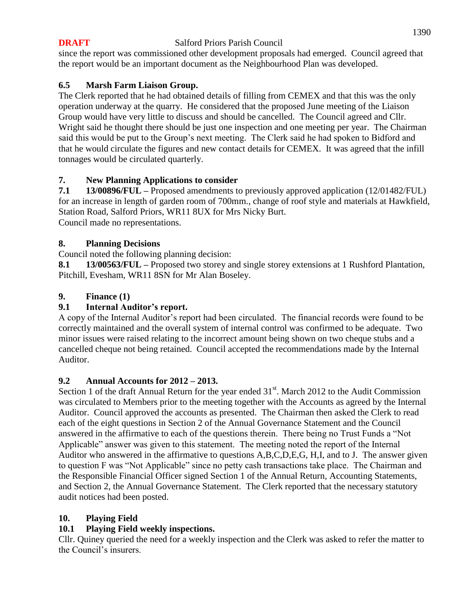since the report was commissioned other development proposals had emerged. Council agreed that the report would be an important document as the Neighbourhood Plan was developed.

# **6.5 Marsh Farm Liaison Group.**

The Clerk reported that he had obtained details of filling from CEMEX and that this was the only operation underway at the quarry. He considered that the proposed June meeting of the Liaison Group would have very little to discuss and should be cancelled. The Council agreed and Cllr. Wright said he thought there should be just one inspection and one meeting per year. The Chairman said this would be put to the Group's next meeting. The Clerk said he had spoken to Bidford and that he would circulate the figures and new contact details for CEMEX. It was agreed that the infill tonnages would be circulated quarterly.

# **7. New Planning Applications to consider**

**7.1 13/00896/FUL –** Proposed amendments to previously approved application (12/01482/FUL) for an increase in length of garden room of 700mm., change of roof style and materials at Hawkfield, Station Road, Salford Priors, WR11 8UX for Mrs Nicky Burt. Council made no representations.

# **8. Planning Decisions**

Council noted the following planning decision:

**8.1 13/00563/FUL –** Proposed two storey and single storey extensions at 1 Rushford Plantation, Pitchill, Evesham, WR11 8SN for Mr Alan Boseley.

# **9. Finance (1)**

# **9.1 Internal Auditor's report.**

A copy of the Internal Auditor's report had been circulated. The financial records were found to be correctly maintained and the overall system of internal control was confirmed to be adequate. Two minor issues were raised relating to the incorrect amount being shown on two cheque stubs and a cancelled cheque not being retained. Council accepted the recommendations made by the Internal Auditor.

# **9.2 Annual Accounts for 2012 – 2013.**

Section 1 of the draft Annual Return for the year ended  $31<sup>st</sup>$ . March 2012 to the Audit Commission was circulated to Members prior to the meeting together with the Accounts as agreed by the Internal Auditor. Council approved the accounts as presented. The Chairman then asked the Clerk to read each of the eight questions in Section 2 of the Annual Governance Statement and the Council answered in the affirmative to each of the questions therein. There being no Trust Funds a "Not Applicable" answer was given to this statement. The meeting noted the report of the Internal Auditor who answered in the affirmative to questions A,B,C,D,E,G, H,I, and to J. The answer given to question F was "Not Applicable" since no petty cash transactions take place. The Chairman and the Responsible Financial Officer signed Section 1 of the Annual Return, Accounting Statements, and Section 2, the Annual Governance Statement. The Clerk reported that the necessary statutory audit notices had been posted.

# **10. Playing Field**

# **10.1 Playing Field weekly inspections.**

Cllr. Quiney queried the need for a weekly inspection and the Clerk was asked to refer the matter to the Council's insurers.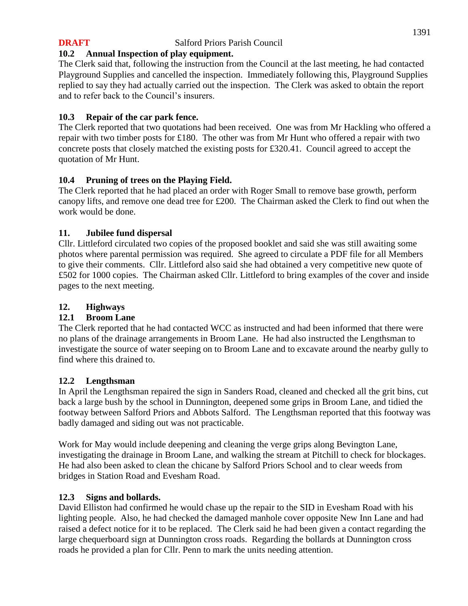# **10.2 Annual Inspection of play equipment.**

The Clerk said that, following the instruction from the Council at the last meeting, he had contacted Playground Supplies and cancelled the inspection. Immediately following this, Playground Supplies replied to say they had actually carried out the inspection. The Clerk was asked to obtain the report and to refer back to the Council's insurers.

# **10.3 Repair of the car park fence.**

The Clerk reported that two quotations had been received. One was from Mr Hackling who offered a repair with two timber posts for £180. The other was from Mr Hunt who offered a repair with two concrete posts that closely matched the existing posts for £320.41. Council agreed to accept the quotation of Mr Hunt.

# **10.4 Pruning of trees on the Playing Field.**

The Clerk reported that he had placed an order with Roger Small to remove base growth, perform canopy lifts, and remove one dead tree for £200. The Chairman asked the Clerk to find out when the work would be done.

# **11. Jubilee fund dispersal**

Cllr. Littleford circulated two copies of the proposed booklet and said she was still awaiting some photos where parental permission was required. She agreed to circulate a PDF file for all Members to give their comments. Cllr. Littleford also said she had obtained a very competitive new quote of £502 for 1000 copies. The Chairman asked Cllr. Littleford to bring examples of the cover and inside pages to the next meeting.

# **12. Highways**

# **12.1 Broom Lane**

The Clerk reported that he had contacted WCC as instructed and had been informed that there were no plans of the drainage arrangements in Broom Lane. He had also instructed the Lengthsman to investigate the source of water seeping on to Broom Lane and to excavate around the nearby gully to find where this drained to.

# **12.2 Lengthsman**

In April the Lengthsman repaired the sign in Sanders Road, cleaned and checked all the grit bins, cut back a large bush by the school in Dunnington, deepened some grips in Broom Lane, and tidied the footway between Salford Priors and Abbots Salford. The Lengthsman reported that this footway was badly damaged and siding out was not practicable.

Work for May would include deepening and cleaning the verge grips along Bevington Lane, investigating the drainage in Broom Lane, and walking the stream at Pitchill to check for blockages. He had also been asked to clean the chicane by Salford Priors School and to clear weeds from bridges in Station Road and Evesham Road.

# **12.3 Signs and bollards.**

David Elliston had confirmed he would chase up the repair to the SID in Evesham Road with his lighting people. Also, he had checked the damaged manhole cover opposite New Inn Lane and had raised a defect notice for it to be replaced. The Clerk said he had been given a contact regarding the large chequerboard sign at Dunnington cross roads. Regarding the bollards at Dunnington cross roads he provided a plan for Cllr. Penn to mark the units needing attention.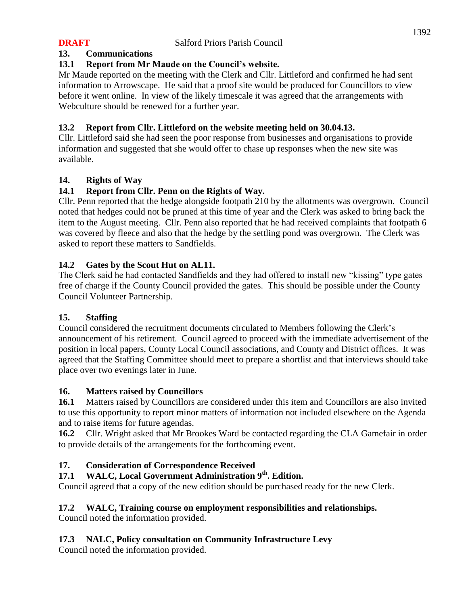# **13. Communications**

# **13.1 Report from Mr Maude on the Council's website.**

Mr Maude reported on the meeting with the Clerk and Cllr. Littleford and confirmed he had sent information to Arrowscape. He said that a proof site would be produced for Councillors to view before it went online. In view of the likely timescale it was agreed that the arrangements with Webculture should be renewed for a further year.

# **13.2 Report from Cllr. Littleford on the website meeting held on 30.04.13.**

Cllr. Littleford said she had seen the poor response from businesses and organisations to provide information and suggested that she would offer to chase up responses when the new site was available.

# **14. Rights of Way**

# **14.1 Report from Cllr. Penn on the Rights of Way.**

Cllr. Penn reported that the hedge alongside footpath 210 by the allotments was overgrown. Council noted that hedges could not be pruned at this time of year and the Clerk was asked to bring back the item to the August meeting. Cllr. Penn also reported that he had received complaints that footpath 6 was covered by fleece and also that the hedge by the settling pond was overgrown. The Clerk was asked to report these matters to Sandfields.

# **14.2 Gates by the Scout Hut on AL11.**

The Clerk said he had contacted Sandfields and they had offered to install new "kissing" type gates free of charge if the County Council provided the gates. This should be possible under the County Council Volunteer Partnership.

# **15. Staffing**

Council considered the recruitment documents circulated to Members following the Clerk's announcement of his retirement. Council agreed to proceed with the immediate advertisement of the position in local papers, County Local Council associations, and County and District offices. It was agreed that the Staffing Committee should meet to prepare a shortlist and that interviews should take place over two evenings later in June.

# **16. Matters raised by Councillors**

**16.1** Matters raised by Councillors are considered under this item and Councillors are also invited to use this opportunity to report minor matters of information not included elsewhere on the Agenda and to raise items for future agendas.

**16.2** Cllr. Wright asked that Mr Brookes Ward be contacted regarding the CLA Gamefair in order to provide details of the arrangements for the forthcoming event.

# **17. Consideration of Correspondence Received**

# **17.1 WALC, Local Government Administration 9th. Edition.**

Council agreed that a copy of the new edition should be purchased ready for the new Clerk.

# **17.2 WALC, Training course on employment responsibilities and relationships.**

Council noted the information provided.

# **17.3 NALC, Policy consultation on Community Infrastructure Levy**

Council noted the information provided.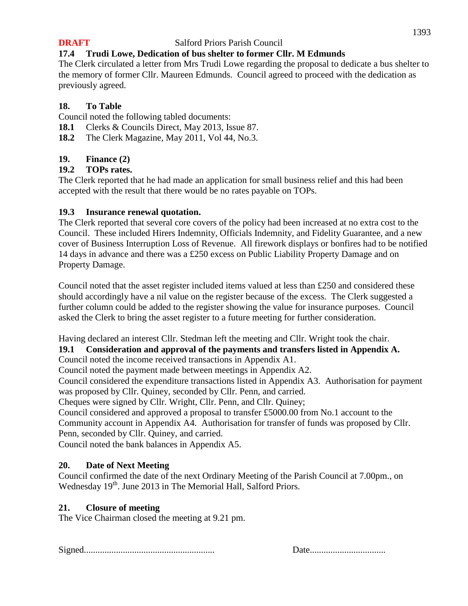# **17.4 Trudi Lowe, Dedication of bus shelter to former Cllr. M Edmunds**

The Clerk circulated a letter from Mrs Trudi Lowe regarding the proposal to dedicate a bus shelter to the memory of former Cllr. Maureen Edmunds. Council agreed to proceed with the dedication as previously agreed.

#### **18. To Table**

Council noted the following tabled documents:

- **18.1** Clerks & Councils Direct, May 2013, Issue 87.
- **18.2** The Clerk Magazine, May 2011, Vol 44, No.3.

#### **19. Finance (2)**

#### **19.2 TOPs rates.**

The Clerk reported that he had made an application for small business relief and this had been accepted with the result that there would be no rates payable on TOPs.

#### **19.3 Insurance renewal quotation.**

The Clerk reported that several core covers of the policy had been increased at no extra cost to the Council. These included Hirers Indemnity, Officials Indemnity, and Fidelity Guarantee, and a new cover of Business Interruption Loss of Revenue. All firework displays or bonfires had to be notified 14 days in advance and there was a £250 excess on Public Liability Property Damage and on Property Damage.

Council noted that the asset register included items valued at less than £250 and considered these should accordingly have a nil value on the register because of the excess. The Clerk suggested a further column could be added to the register showing the value for insurance purposes. Council asked the Clerk to bring the asset register to a future meeting for further consideration.

Having declared an interest Cllr. Stedman left the meeting and Cllr. Wright took the chair.

# **19.1 Consideration and approval of the payments and transfers listed in Appendix A.**

Council noted the income received transactions in Appendix A1.

Council noted the payment made between meetings in Appendix A2.

Council considered the expenditure transactions listed in Appendix A3. Authorisation for payment was proposed by Cllr. Quiney, seconded by Cllr. Penn, and carried.

Cheques were signed by Cllr. Wright, Cllr. Penn, and Cllr. Quiney;

Council considered and approved a proposal to transfer £5000.00 from No.1 account to the Community account in Appendix A4. Authorisation for transfer of funds was proposed by Cllr. Penn, seconded by Cllr. Quiney, and carried.

Council noted the bank balances in Appendix A5.

# **20. Date of Next Meeting**

Council confirmed the date of the next Ordinary Meeting of the Parish Council at 7.00pm., on Wednesday 19<sup>th</sup>. June 2013 in The Memorial Hall, Salford Priors.

# **21. Closure of meeting**

The Vice Chairman closed the meeting at 9.21 pm.

Signed......................................................... Date.................................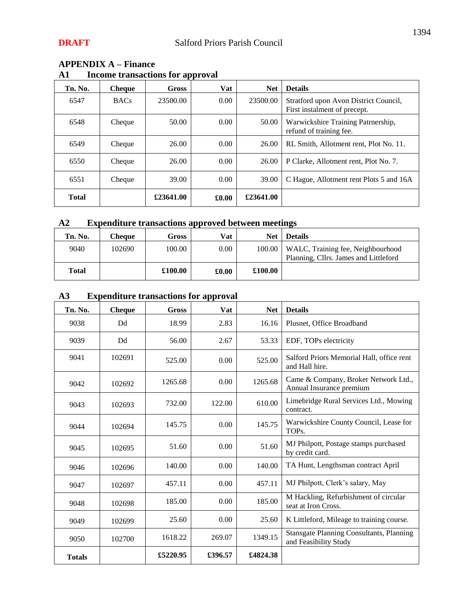| Tn. No.      | Cheque      | Gross     | Vat            | <b>Net</b> | <b>Details</b>                                                        |
|--------------|-------------|-----------|----------------|------------|-----------------------------------------------------------------------|
| 6547         | <b>BACs</b> | 23500.00  | 0.00           | 23500.00   | Stratford upon Avon District Council,<br>First instalment of precept. |
| 6548         | Cheque      | 50.00     | 0.00           | 50.00      | Warwickshire Training Patrnership,<br>refund of training fee.         |
| 6549         | Cheque      | 26.00     | 0.00           | 26.00      | RL Smith, Allotment rent, Plot No. 11.                                |
| 6550         | Cheque      | 26.00     | $0.00^{\circ}$ | 26.00      | P Clarke, Allotment rent, Plot No. 7.                                 |
| 6551         | Cheque      | 39.00     | 0.00           | 39.00      | C Hague, Allotment rent Plots 5 and 16A                               |
| <b>Total</b> |             | £23641.00 | £0.00          | £23641.00  |                                                                       |

# **APPENDIX A – Finance**

# **A1 Income transactions for approval**

# **A2 Expenditure transactions approved between meetings**

| Tn. No.      | Cheque | Gross   | Vat   | <b>Net</b> | <b>Details</b>                                                             |
|--------------|--------|---------|-------|------------|----------------------------------------------------------------------------|
| 9040         | 102690 | 100.00  | 0.00  | 100.00     | WALC, Training fee, Neighbourhood<br>Planning, Cllrs. James and Littleford |
| <b>Total</b> |        | £100.00 | £0.00 | £100.00    |                                                                            |

# **A3 Expenditure transactions for approval**

| Tn. No.       | <b>Cheque</b> | Gross    | Vat     | <b>Net</b> | <b>Details</b>                                                           |
|---------------|---------------|----------|---------|------------|--------------------------------------------------------------------------|
| 9038          | Dd            | 18.99    | 2.83    | 16.16      | Plusnet, Office Broadband                                                |
| 9039          | Dd            | 56.00    | 2.67    | 53.33      | EDF, TOPs electricity                                                    |
| 9041          | 102691        | 525.00   | 0.00    | 525.00     | Salford Priors Memorial Hall, office rent<br>and Hall hire.              |
| 9042          | 102692        | 1265.68  | 0.00    | 1265.68    | Came & Company, Broker Network Ltd.,<br>Annual Insurance premium         |
| 9043          | 102693        | 732.00   | 122.00  | 610.00     | Limebridge Rural Services Ltd., Mowing<br>contract.                      |
| 9044          | 102694        | 145.75   | 0.00    | 145.75     | Warwickshire County Council, Lease for<br>TOPs.                          |
| 9045          | 102695        | 51.60    | 0.00    | 51.60      | MJ Philpott, Postage stamps purchased<br>by credit card.                 |
| 9046          | 102696        | 140.00   | 0.00    | 140.00     | TA Hunt, Lengthsman contract April                                       |
| 9047          | 102697        | 457.11   | 0.00    | 457.11     | MJ Philpott, Clerk's salary, May                                         |
| 9048          | 102698        | 185.00   | 0.00    | 185.00     | M Hackling, Refurbishment of circular<br>seat at Iron Cross.             |
| 9049          | 102699        | 25.60    | 0.00    | 25.60      | K Littleford, Mileage to training course.                                |
| 9050          | 102700        | 1618.22  | 269.07  | 1349.15    | <b>Stansgate Planning Consultants, Planning</b><br>and Feasibility Study |
| <b>Totals</b> |               | £5220.95 | £396.57 | £4824.38   |                                                                          |